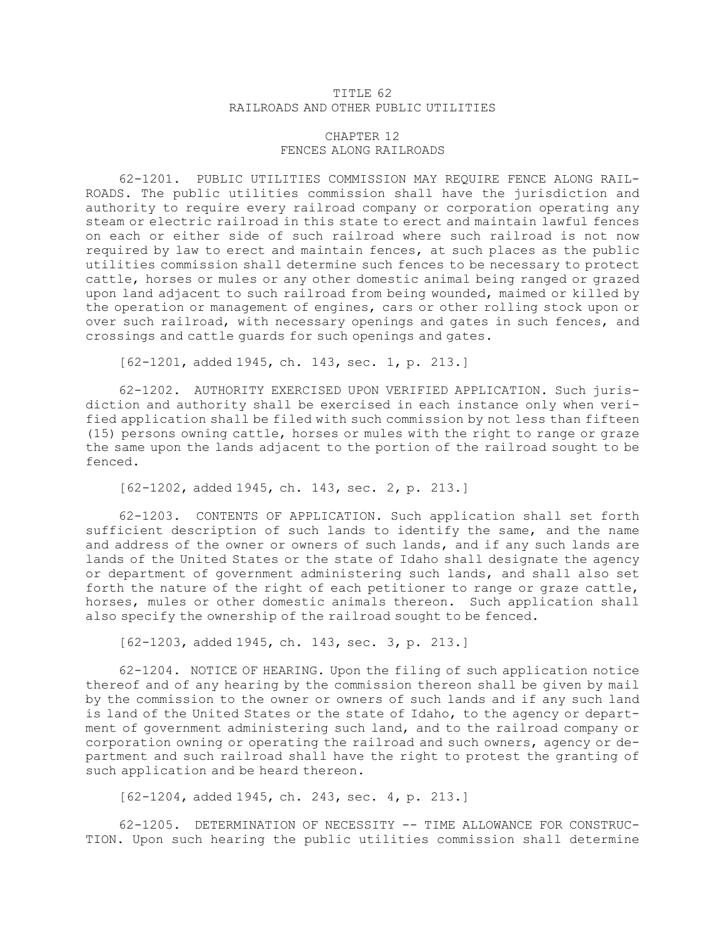## TITLE 62 RAILROADS AND OTHER PUBLIC UTILITIES

## CHAPTER 12 FENCES ALONG RAILROADS

62-1201. PUBLIC UTILITIES COMMISSION MAY REQUIRE FENCE ALONG RAIL-ROADS. The public utilities commission shall have the jurisdiction and authority to require every railroad company or corporation operating any steam or electric railroad in this state to erect and maintain lawful fences on each or either side of such railroad where such railroad is not now required by law to erect and maintain fences, at such places as the public utilities commission shall determine such fences to be necessary to protect cattle, horses or mules or any other domestic animal being ranged or grazed upon land adjacent to such railroad from being wounded, maimed or killed by the operation or management of engines, cars or other rolling stock upon or over such railroad, with necessary openings and gates in such fences, and crossings and cattle guards for such openings and gates.

[62-1201, added 1945, ch. 143, sec. 1, p. 213.]

62-1202. AUTHORITY EXERCISED UPON VERIFIED APPLICATION. Such jurisdiction and authority shall be exercised in each instance only when verified application shall be filed with such commission by not less than fifteen (15) persons owning cattle, horses or mules with the right to range or graze the same upon the lands adjacent to the portion of the railroad sought to be fenced.

[62-1202, added 1945, ch. 143, sec. 2, p. 213.]

62-1203. CONTENTS OF APPLICATION. Such application shall set forth sufficient description of such lands to identify the same, and the name and address of the owner or owners of such lands, and if any such lands are lands of the United States or the state of Idaho shall designate the agency or department of government administering such lands, and shall also set forth the nature of the right of each petitioner to range or graze cattle, horses, mules or other domestic animals thereon. Such application shall also specify the ownership of the railroad sought to be fenced.

[62-1203, added 1945, ch. 143, sec. 3, p. 213.]

62-1204. NOTICE OF HEARING. Upon the filing of such application notice thereof and of any hearing by the commission thereon shall be given by mail by the commission to the owner or owners of such lands and if any such land is land of the United States or the state of Idaho, to the agency or department of government administering such land, and to the railroad company or corporation owning or operating the railroad and such owners, agency or department and such railroad shall have the right to protest the granting of such application and be heard thereon.

[62-1204, added 1945, ch. 243, sec. 4, p. 213.]

62-1205. DETERMINATION OF NECESSITY -- TIME ALLOWANCE FOR CONSTRUC-TION. Upon such hearing the public utilities commission shall determine